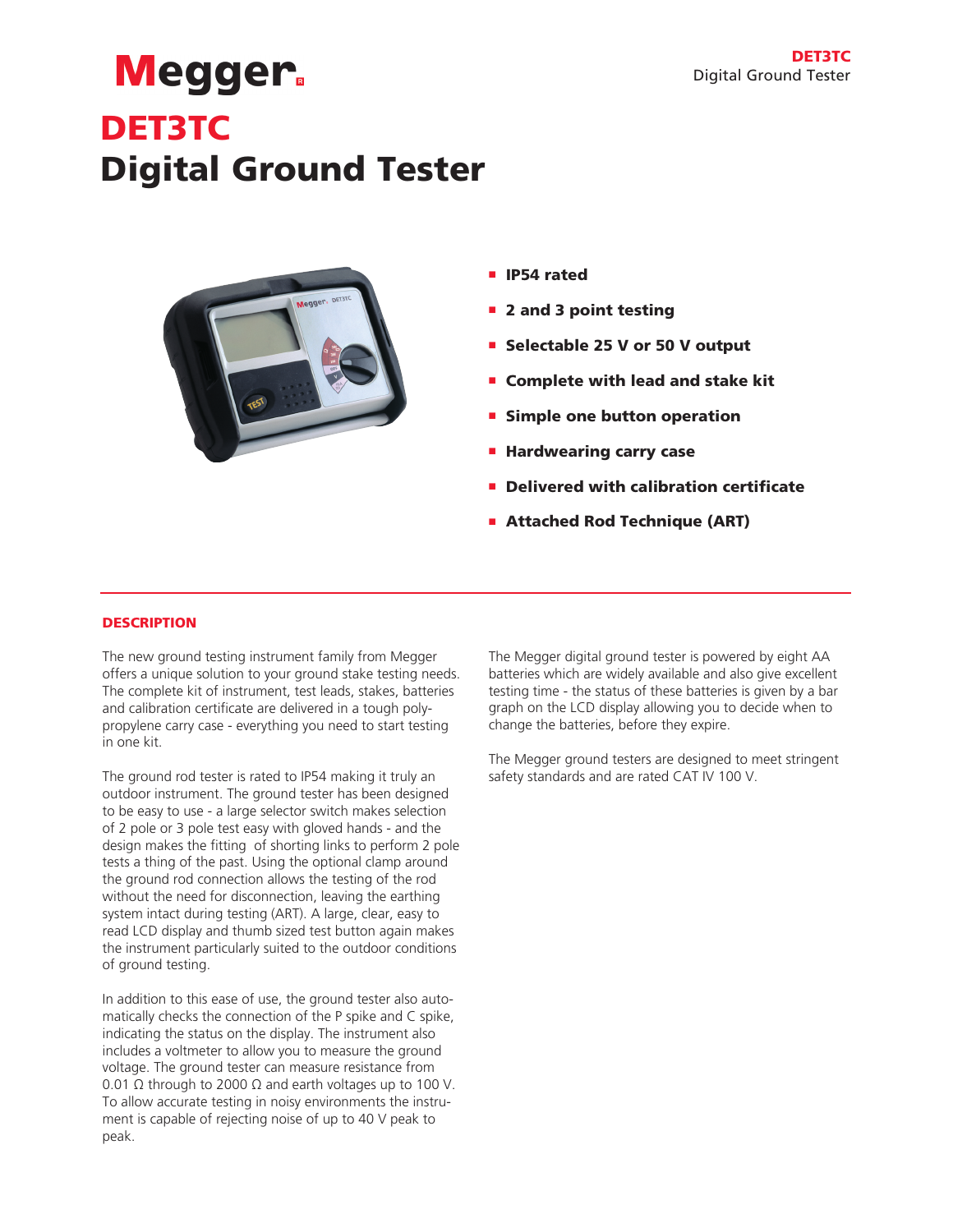# **Megger** DET3TC Digital Ground Tester



- **n** IP54 rated
- **2** and 3 point testing
- **Selectable 25 V or 50 V output**
- Complete with lead and stake kit
- **E** Simple one button operation
- **Hardwearing carry case**
- **P** Delivered with calibration certificate
- **Attached Rod Technique (ART)**

# **DESCRIPTION**

The new ground testing instrument family from Megger offers a unique solution to your ground stake testing needs. The complete kit of instrument, test leads, stakes, batteries and calibration certificate are delivered in a tough polypropylene carry case - everything you need to start testing in one kit.

The ground rod tester is rated to IP54 making it truly an outdoor instrument. The ground tester has been designed to be easy to use - a large selector switch makes selection of 2 pole or 3 pole test easy with gloved hands - and the design makes the fitting of shorting links to perform 2 pole tests a thing of the past. Using the optional clamp around the ground rod connection allows the testing of the rod without the need for disconnection, leaving the earthing system intact during testing (ART). A large, clear, easy to read LCD display and thumb sized test button again makes the instrument particularly suited to the outdoor conditions of ground testing.

In addition to this ease of use, the ground tester also automatically checks the connection of the P spike and C spike, indicating the status on the display. The instrument also includes a voltmeter to allow you to measure the ground voltage. The ground tester can measure resistance from 0.01  $\Omega$  through to 2000  $\Omega$  and earth voltages up to 100 V. To allow accurate testing in noisy environments the instrument is capable of rejecting noise of up to 40 V peak to peak.

The Megger digital ground tester is powered by eight AA batteries which are widely available and also give excellent testing time - the status of these batteries is given by a bar graph on the LCD display allowing you to decide when to change the batteries, before they expire.

The Megger ground testers are designed to meet stringent safety standards and are rated CAT IV 100 V.